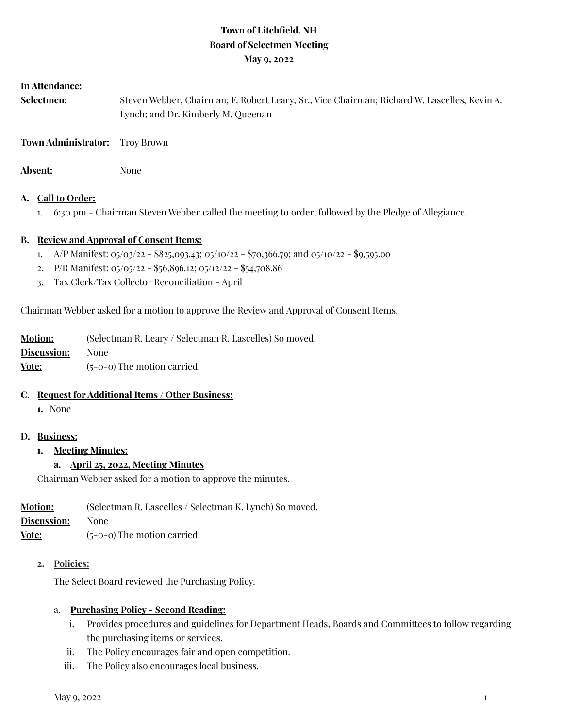# **Town of Litchfield, NH Board of Selectmen Meeting May 9, 2022**

#### **In Attendance:**

| <b>Selectmen:</b> | Steven Webber, Chairman; F. Robert Leary, Sr., Vice Chairman; Richard W. Lascelles; Kevin A. |
|-------------------|----------------------------------------------------------------------------------------------|
|                   | Lynch; and Dr. Kimberly M. Queenan                                                           |

**Town Administrator:** Troy Brown

Absent: None

#### **A. Call to Order:**

1. 6:30 pm - Chairman Steven Webber called the meeting to order, followed by the Pledge of Allegiance.

#### **B. Review and Approval of Consent Items:**

- 1. A/P Manifest: 05/03/22 \$825,093.43; 05/10/22 \$70,366.79; and 05/10/22 \$9,595.oo
- 2. P/R Manifest: 05/05/22 \$56,896.12; 05/12/22 \$54,708.86
- 3. Tax Clerk/Tax Collector Reconciliation April

Chairman Webber asked for a motion to approve the Review and Approval of Consent Items.

| <b>Motion:</b> | (Selectman R. Leary / Selectman R. Lascelles) So moved. |
|----------------|---------------------------------------------------------|
| Discussion:    | None.                                                   |
| Vote:          | $(5-0-0)$ The motion carried.                           |

#### **C. Request for Additional Items / Other Business:**

**1.** None

#### **D. Business:**

**1. Meeting Minutes:**

### **a. April 25, 2022, Meeting Minutes**

Chairman Webber asked for a motion to approve the minutes.

| <b>Motion:</b> | (Selectman R. Lascelles / Selectman K. Lynch) So moved. |
|----------------|---------------------------------------------------------|
| Discussion:    | None.                                                   |
| <u>Vote:</u>   | $(5-0-0)$ The motion carried.                           |

#### **2. Policies:**

The Select Board reviewed the Purchasing Policy.

#### a. **Purchasing Policy - Second Reading:**

- i. Provides procedures and guidelines for Department Heads, Boards and Committees to follow regarding the purchasing items or services.
- ii. The Policy encourages fair and open competition.
- iii. The Policy also encourages local business.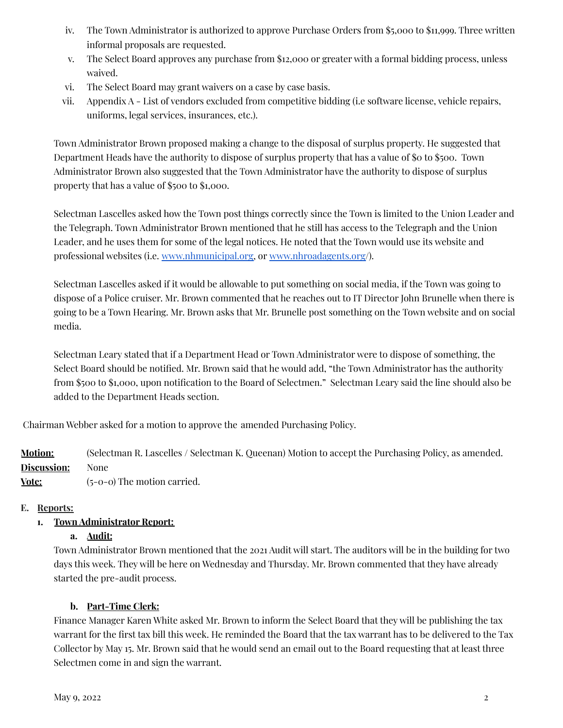- iv. The Town Administrator is authorized to approve Purchase Orders from \$5,000 to \$11,999. Three written informal proposals are requested.
- v. The Select Board approves any purchase from \$12,000 or greater with a formal bidding process, unless waived.
- vi. The Select Board may grant waivers on a case by case basis.
- vii. Appendix A List of vendors excluded from competitive bidding (i.e software license, vehicle repairs, uniforms, legal services, insurances, etc.).

Town Administrator Brown proposed making a change to the disposal of surplus property. He suggested that Department Heads have the authority to dispose of surplus property that has a value of \$0 to \$500. Town Administrator Brown also suggested that the Town Administrator have the authority to dispose of surplus property that has a value of \$500 to \$1,000.

Selectman Lascelles asked how the Town post things correctly since the Town is limited to the Union Leader and the Telegraph. Town Administrator Brown mentioned that he still has access to the Telegraph and the Union Leader, and he uses them for some of the legal notices. He noted that the Town would use its website and professional websites (i.e. [www.nhmunicipal.org,](http://www.nhmunicipal.org) or [www.nhroadagents.org/](http://www.nhroadagents.org)).

Selectman Lascelles asked if it would be allowable to put something on social media, if the Town was going to dispose of a Police cruiser. Mr. Brown commented that he reaches out to IT Director John Brunelle when there is going to be a Town Hearing. Mr. Brown asks that Mr. Brunelle post something on the Town website and on social media.

Selectman Leary stated that if a Department Head or Town Administrator were to dispose of something, the Select Board should be notified. Mr. Brown said that he would add, "the Town Administrator has the authority from \$500 to \$1,000, upon notification to the Board of Selectmen." Selectman Leary said the line should also be added to the Department Heads section.

Chairman Webber asked for a motion to approve the amended Purchasing Policy.

**Motion:** (Selectman R. Lascelles / Selectman K. Queenan) Motion to accept the Purchasing Policy, as amended. **Discussion:** None **Vote:** (5-0-0) The motion carried.

# **E. Reports:**

# **1. Town Administrator Report:**

### **a. Audit:**

Town Administrator Brown mentioned that the 2021 Audit will start. The auditors will be in the building for two days this week. They will be here on Wednesday and Thursday. Mr. Brown commented that they have already started the pre-audit process.

### **b. Part-Time Clerk:**

Finance Manager Karen White asked Mr. Brown to inform the Select Board that they will be publishing the tax warrant for the first tax bill this week. He reminded the Board that the tax warrant has to be delivered to the Tax Collector by May 15. Mr. Brown said that he would send an email out to the Board requesting that at least three Selectmen come in and sign the warrant.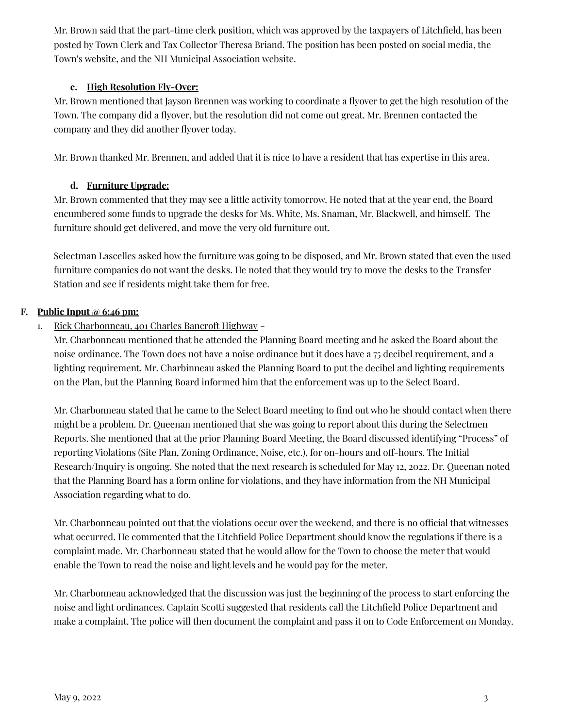Mr. Brown said that the part-time clerk position, which was approved by the taxpayers of Litchfield, has been posted by Town Clerk and Tax Collector Theresa Briand. The position has been posted on social media, the Town's website, and the NH Municipal Association website.

## **c. High Resolution Fly-Over:**

Mr. Brown mentioned that Jayson Brennen was working to coordinate a flyover to get the high resolution of the Town. The company did a flyover, but the resolution did not come out great. Mr. Brennen contacted the company and they did another flyover today.

Mr. Brown thanked Mr. Brennen, and added that it is nice to have a resident that has expertise in this area.

## **d. Furniture Upgrade:**

Mr. Brown commented that they may see a little activity tomorrow. He noted that at the year end, the Board encumbered some funds to upgrade the desks for Ms. White, Ms. Snaman, Mr. Blackwell, and himself. The furniture should get delivered, and move the very old furniture out.

Selectman Lascelles asked how the furniture was going to be disposed, and Mr. Brown stated that even the used furniture companies do not want the desks. He noted that they would try to move the desks to the Transfer Station and see if residents might take them for free.

### **F. Public Input @ 6:46 pm:**

1. Rick Charbonneau, 401 Charles Bancroft Highway -

Mr. Charbonneau mentioned that he attended the Planning Board meeting and he asked the Board about the noise ordinance. The Town does not have a noise ordinance but it does have a 75 decibel requirement, and a lighting requirement. Mr. Charbinneau asked the Planning Board to put the decibel and lighting requirements on the Plan, but the Planning Board informed him that the enforcement was up to the Select Board.

Mr. Charbonneau stated that he came to the Select Board meeting to find out who he should contact when there might be a problem. Dr. Queenan mentioned that she was going to report about this during the Selectmen Reports. She mentioned that at the prior Planning Board Meeting, the Board discussed identifying "Process" of reporting Violations (Site Plan, Zoning Ordinance, Noise, etc.), for on-hours and off-hours. The Initial Research/Inquiry is ongoing. She noted that the next research is scheduled for May 12, 2022. Dr. Queenan noted that the Planning Board has a form online for violations, and they have information from the NH Municipal Association regarding what to do.

Mr. Charbonneau pointed out that the violations occur over the weekend, and there is no official that witnesses what occurred. He commented that the Litchfield Police Department should know the regulations if there is a complaint made. Mr. Charbonneau stated that he would allow for the Town to choose the meter that would enable the Town to read the noise and light levels and he would pay for the meter.

Mr. Charbonneau acknowledged that the discussion was just the beginning of the process to start enforcing the noise and light ordinances. Captain Scotti suggested that residents call the Litchfield Police Department and make a complaint. The police will then document the complaint and pass it on to Code Enforcement on Monday.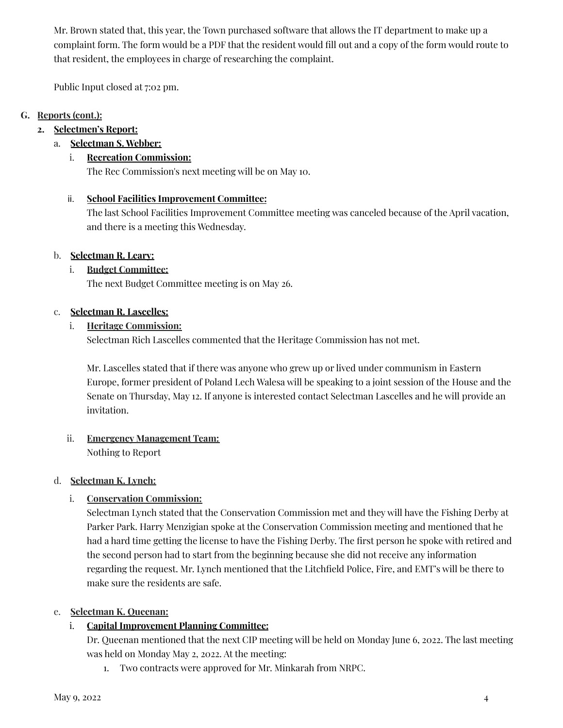Mr. Brown stated that, this year, the Town purchased software that allows the IT department to make up a complaint form. The form would be a PDF that the resident would fill out and a copy of the form would route to that resident, the employees in charge of researching the complaint.

Public Input closed at 7:02 pm.

# **G. Reports (cont.):**

## **2. Selectmen's Report:**

# a. **Selectman S. Webber:**

## i. **Recreation Commission:**

The Rec Commission's next meeting will be on May 10.

## ii. **School Facilities Improvement Committee:**

The last School Facilities Improvement Committee meeting was canceled because of the April vacation, and there is a meeting this Wednesday.

## b. **Selectman R. Leary:**

## i. **Budget Committee:**

The next Budget Committee meeting is on May 26.

### c. **Selectman R. Lascelles:**

## i. **Heritage Commission:**

Selectman Rich Lascelles commented that the Heritage Commission has not met.

Mr. Lascelles stated that if there was anyone who grew up or lived under communism in Eastern Europe, former president of Poland Lech Walesa will be speaking to a joint session of the House and the Senate on Thursday, May 12. If anyone is interested contact Selectman Lascelles and he will provide an invitation.

### ii. **Emergency Management Team:** Nothing to Report

### d. **Selectman K. Lynch:**

# i. **Conservation Commission:**

Selectman Lynch stated that the Conservation Commission met and they will have the Fishing Derby at Parker Park. Harry Menzigian spoke at the Conservation Commission meeting and mentioned that he had a hard time getting the license to have the Fishing Derby. The first person he spoke with retired and the second person had to start from the beginning because she did not receive any information regarding the request. Mr. Lynch mentioned that the Litchfield Police, Fire, and EMT's will be there to make sure the residents are safe.

# e. **Selectman K. Queenan:**

# i. **Capital Improvement Planning Committee:**

Dr. Queenan mentioned that the next CIP meeting will be held on Monday June 6, 2022. The last meeting was held on Monday May 2, 2022. At the meeting:

1. Two contracts were approved for Mr. Minkarah from NRPC.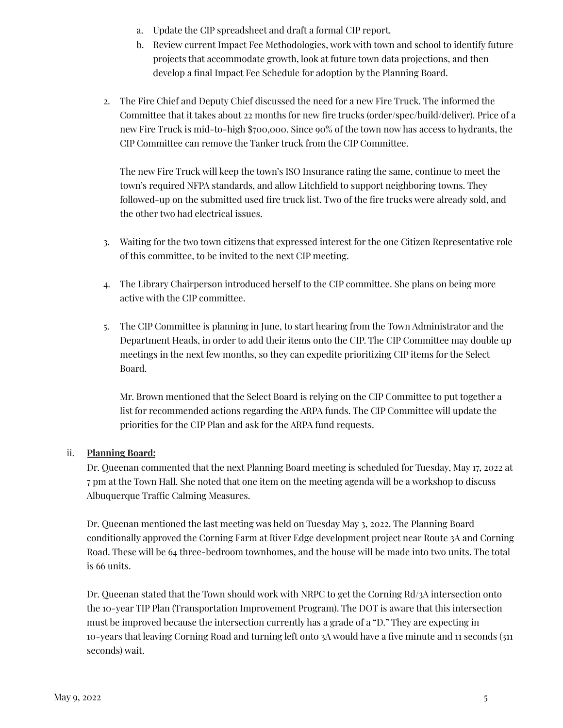- a. Update the CIP spreadsheet and draft a formal CIP report.
- b. Review current Impact Fee Methodologies, work with town and school to identify future projects that accommodate growth, look at future town data projections, and then develop a final Impact Fee Schedule for adoption by the Planning Board.
- 2. The Fire Chief and Deputy Chief discussed the need for a new Fire Truck. The informed the Committee that it takes about 22 months for new fire trucks (order/spec/build/deliver). Price of a new Fire Truck is mid-to-high \$700,000. Since 90% of the town now has access to hydrants, the CIP Committee can remove the Tanker truck from the CIP Committee.

The new Fire Truck will keep the town's ISO Insurance rating the same, continue to meet the town's required NFPA standards, and allow Litchfield to support neighboring towns. They followed-up on the submitted used fire truck list. Two of the fire trucks were already sold, and the other two had electrical issues.

- 3. Waiting for the two town citizens that expressed interest for the one Citizen Representative role of this committee, to be invited to the next CIP meeting.
- 4. The Library Chairperson introduced herself to the CIP committee. She plans on being more active with the CIP committee.
- 5. The CIP Committee is planning in June, to start hearing from the Town Administrator and the Department Heads, in order to add their items onto the CIP. The CIP Committee may double up meetings in the next few months, so they can expedite prioritizing CIP items for the Select Board.

Mr. Brown mentioned that the Select Board is relying on the CIP Committee to put together a list for recommended actions regarding the ARPA funds. The CIP Committee will update the priorities for the CIP Plan and ask for the ARPA fund requests.

# ii. **Planning Board:**

Dr. Queenan commented that the next Planning Board meeting is scheduled for Tuesday, May 17, 2022 at 7 pm at the Town Hall. She noted that one item on the meeting agenda will be a workshop to discuss Albuquerque Traffic Calming Measures.

Dr. Queenan mentioned the last meeting was held on Tuesday May 3, 2022. The Planning Board conditionally approved the Corning Farm at River Edge development project near Route 3A and Corning Road. These will be 64 three-bedroom townhomes, and the house will be made into two units. The total is 66 units.

Dr. Queenan stated that the Town should work with NRPC to get the Corning Rd/3A intersection onto the 10-year TIP Plan (Transportation Improvement Program). The DOT is aware that this intersection must be improved because the intersection currently has a grade of a "D." They are expecting in 10-years that leaving Corning Road and turning left onto 3A would have a five minute and 11 seconds (311 seconds) wait.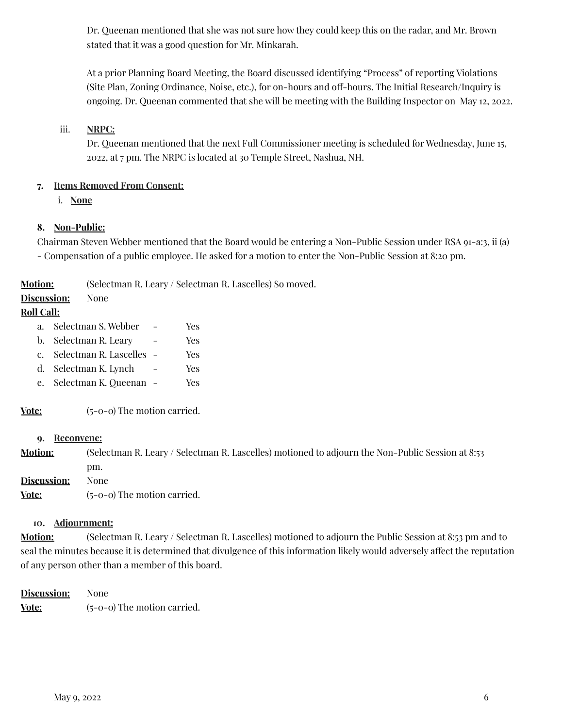Dr. Queenan mentioned that she was not sure how they could keep this on the radar, and Mr. Brown stated that it was a good question for Mr. Minkarah.

At a prior Planning Board Meeting, the Board discussed identifying "Process" of reporting Violations (Site Plan, Zoning Ordinance, Noise, etc.), for on-hours and off-hours. The Initial Research/Inquiry is ongoing. Dr. Queenan commented that she will be meeting with the Building Inspector on May 12, 2022.

## iii. **NRPC:**

Dr. Queenan mentioned that the next Full Commissioner meeting is scheduled for Wednesday, June 15, 2022, at 7 pm. The NRPC is located at 30 Temple Street, Nashua, NH.

## **7. Items Removed From Consent:**

i. **None**

## **8. Non-Public:**

Chairman Steven Webber mentioned that the Board would be entering a Non-Public Session under RSA 91-a:3, ii (a) - Compensation of a public employee. He asked for a motion to enter the Non-Public Session at 8:20 pm.

**Motion:** (Selectman R. Leary / Selectman R. Lascelles) So moved.

# **Discussion:** None

## **Roll Call:**

- a. Selectman S. Webber Yes
- b. Selectman R. Leary Yes
- c. Selectman R. Lascelles Yes
- d. Selectman K. Lynch Yes
- e. Selectman K. Queenan Yes

**Vote:** (5-0-0) The motion carried.

#### **9. Reconvene:**

**Motion:** (Selectman R. Leary / Selectman R. Lascelles) motioned to adjourn the Non-Public Session at 8:53 pm.

**Discussion:** None

**Vote:** (5-0-0) The motion carried.

### **10. Adjournment:**

**Motion:** (Selectman R. Leary / Selectman R. Lascelles) motioned to adjourn the Public Session at 8:53 pm and to seal the minutes because it is determined that divulgence of this information likely would adversely affect the reputation of any person other than a member of this board.

**Discussion:** None **Vote:** (5-0-0) The motion carried.